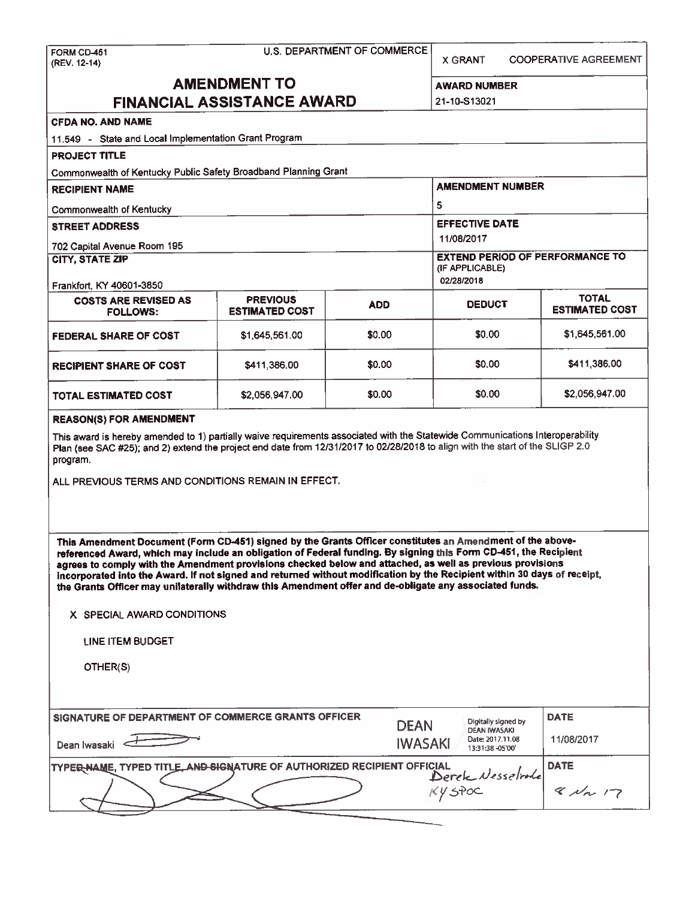| FORM CD-451<br>(REV. 12-14)                                                                                                                                                                                                                                                                                                                                                                                                                                                                                                                                        |                                          | U.S. DEPARTMENT OF COMMERCE | <b>X GRANT</b>                                                                | <b>COOPERATIVE AGREEMENT</b> |  |  |  |
|--------------------------------------------------------------------------------------------------------------------------------------------------------------------------------------------------------------------------------------------------------------------------------------------------------------------------------------------------------------------------------------------------------------------------------------------------------------------------------------------------------------------------------------------------------------------|------------------------------------------|-----------------------------|-------------------------------------------------------------------------------|------------------------------|--|--|--|
|                                                                                                                                                                                                                                                                                                                                                                                                                                                                                                                                                                    | <b>AMENDMENT TO</b>                      |                             | <b>AWARD NUMBER</b>                                                           |                              |  |  |  |
| <b>FINANCIAL ASSISTANCE AWARD</b>                                                                                                                                                                                                                                                                                                                                                                                                                                                                                                                                  | 21-10-S13021                             |                             |                                                                               |                              |  |  |  |
| <b>CFDA NO. AND NAME</b>                                                                                                                                                                                                                                                                                                                                                                                                                                                                                                                                           |                                          |                             |                                                                               |                              |  |  |  |
| 11.549 - State and Local Implementation Grant Program                                                                                                                                                                                                                                                                                                                                                                                                                                                                                                              |                                          |                             |                                                                               |                              |  |  |  |
| <b>PROJECT TITLE</b>                                                                                                                                                                                                                                                                                                                                                                                                                                                                                                                                               |                                          |                             |                                                                               |                              |  |  |  |
| Commonwealth of Kentucky Public Safety Broadband Planning Grant                                                                                                                                                                                                                                                                                                                                                                                                                                                                                                    |                                          |                             |                                                                               |                              |  |  |  |
| <b>RECIPIENT NAME</b>                                                                                                                                                                                                                                                                                                                                                                                                                                                                                                                                              |                                          |                             | <b>AMENDMENT NUMBER</b>                                                       |                              |  |  |  |
| Commonwealth of Kentucky                                                                                                                                                                                                                                                                                                                                                                                                                                                                                                                                           |                                          |                             | 5                                                                             |                              |  |  |  |
| <b>STREET ADDRESS</b>                                                                                                                                                                                                                                                                                                                                                                                                                                                                                                                                              |                                          |                             | <b>EFFECTIVE DATE</b>                                                         |                              |  |  |  |
| 702 Capital Avenue Room 195                                                                                                                                                                                                                                                                                                                                                                                                                                                                                                                                        |                                          |                             | 11/08/2017                                                                    |                              |  |  |  |
| <b>CITY, STATE ZIP</b>                                                                                                                                                                                                                                                                                                                                                                                                                                                                                                                                             |                                          |                             | <b>EXTEND PERIOD OF PERFORMANCE TO</b><br>(IF APPLICABLE)<br>02/28/2018       |                              |  |  |  |
| Frankfort, KY 40601-3850                                                                                                                                                                                                                                                                                                                                                                                                                                                                                                                                           |                                          |                             | <b>TOTAL</b>                                                                  |                              |  |  |  |
| <b>COSTS ARE REVISED AS</b><br><b>FOLLOWS:</b>                                                                                                                                                                                                                                                                                                                                                                                                                                                                                                                     | <b>PREVIOUS</b><br><b>ESTIMATED COST</b> | <b>ADD</b>                  | <b>DEDUCT</b>                                                                 | <b>ESTIMATED COST</b>        |  |  |  |
| <b>FEDERAL SHARE OF COST</b>                                                                                                                                                                                                                                                                                                                                                                                                                                                                                                                                       | \$1,645,561.00                           | \$0.00                      | \$0.00                                                                        | \$1,645,561.00               |  |  |  |
| <b>RECIPIENT SHARE OF COST</b>                                                                                                                                                                                                                                                                                                                                                                                                                                                                                                                                     | \$411,386.00                             | \$0.00                      | \$0.00                                                                        | \$411,386.00                 |  |  |  |
| TOTAL ESTIMATED COST                                                                                                                                                                                                                                                                                                                                                                                                                                                                                                                                               | \$2,056,947.00                           | \$0.00                      | \$0.00                                                                        | \$2,056,947.00               |  |  |  |
| This award is hereby amended to 1) partially waive requirements associated with the Statewide Communications Interoperability<br>Plan (see SAC #25); and 2) extend the project end date from 12/31/2017 to 02/28/2018 to align with the start of the SLIGP 2.0<br>program.<br>ALL PREVIOUS TERMS AND CONDITIONS REMAIN IN EFFECT.<br>This Amendment Document (Form CD-451) signed by the Grants Officer constitutes an Amendment of the above-<br>referenced Award, which may include an obligation of Federal funding. By signing this Form CD-451, the Recipient |                                          |                             |                                                                               |                              |  |  |  |
| agrees to comply with the Amendment provisions checked below and attached, as well as previous provisions<br>incorporated into the Award. If not signed and returned without modification by the Recipient within 30 days of receipt,<br>the Grants Officer may unilaterally withdraw this Amendment offer and de-obligate any associated funds.                                                                                                                                                                                                                   |                                          |                             |                                                                               |                              |  |  |  |
| X SPECIAL AWARD CONDITIONS                                                                                                                                                                                                                                                                                                                                                                                                                                                                                                                                         |                                          |                             |                                                                               |                              |  |  |  |
| LINE ITEM BUDGET                                                                                                                                                                                                                                                                                                                                                                                                                                                                                                                                                   |                                          |                             |                                                                               |                              |  |  |  |
| OTHER(S)                                                                                                                                                                                                                                                                                                                                                                                                                                                                                                                                                           |                                          |                             |                                                                               |                              |  |  |  |
| SIGNATURE OF DEPARTMENT OF COMMERCE GRANTS OFFICER                                                                                                                                                                                                                                                                                                                                                                                                                                                                                                                 |                                          | <b>DEAN</b>                 | Digitally signed by                                                           | <b>DATE</b>                  |  |  |  |
| Dean Iwasaki                                                                                                                                                                                                                                                                                                                                                                                                                                                                                                                                                       |                                          |                             | <b>DEAN IWASAKI</b><br>Date: 2017.11.08<br><b>IWASAKI</b><br>13:31:38 -05'00' | 11/08/2017                   |  |  |  |
| <b>DATE</b><br>TYPER-NAME, TYPED TITLE, AND SIGNATURE OF AUTHORIZED RECIPIENT OFFICIAL<br>Derek Nesselrole                                                                                                                                                                                                                                                                                                                                                                                                                                                         |                                          |                             |                                                                               |                              |  |  |  |
|                                                                                                                                                                                                                                                                                                                                                                                                                                                                                                                                                                    |                                          |                             | $KY$ spoc                                                                     | $8$ Nov 17                   |  |  |  |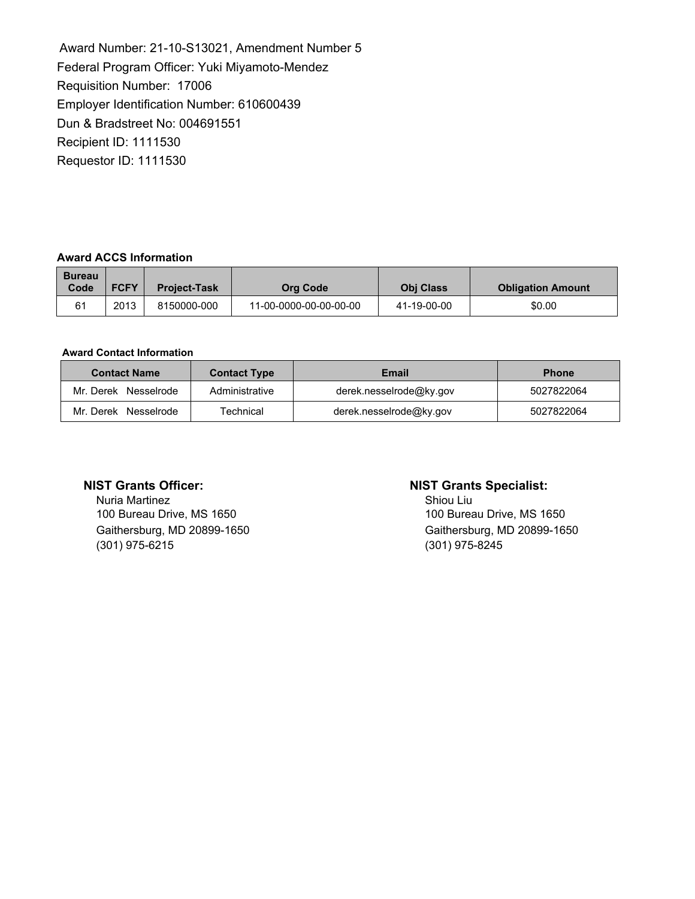Award Number: 21-10-S13021, Amendment Number 5 Federal Program Officer: Yuki Miyamoto-Mendez Requisition Number: 17006 Employer Identification Number: 610600439 Dun & Bradstreet No: 004691551 Recipient ID: 1111530 Requestor ID: 1111530

### **Award ACCS Information**

| <b>Bureau</b><br>Code | <b>FCFY</b> | <b>Project-Task</b> | Org Code               | <b>Obi Class</b> | <b>Obligation Amount</b> |
|-----------------------|-------------|---------------------|------------------------|------------------|--------------------------|
| 61                    | 2013        | 8150000-000         | 11-00-0000-00-00-00-00 | 41-19-00-00      | \$0.00                   |

#### **Award Contact Information**

| <b>Contact Name</b>  | <b>Contact Type</b> | Email                   | <b>Phone</b> |
|----------------------|---------------------|-------------------------|--------------|
| Mr. Derek Nesselrode | Administrative      | derek.nesselrode@ky.gov | 5027822064   |
| Mr. Derek Nesselrode | Technical           | derek.nesselrode@ky.gov | 5027822064   |

Nuria Martinez<br>
100 Bureau Drive, MS 1650<br>
100 Bureau Drive, MS 1650 100 Bureau Drive, MS 1650 (301) 975-6215 (301) 975-8245

## **NIST Grants Officer: NIST Grants Specialist:**

Gaithersburg, MD 20899-1650 Gaithersburg, MD 20899-1650